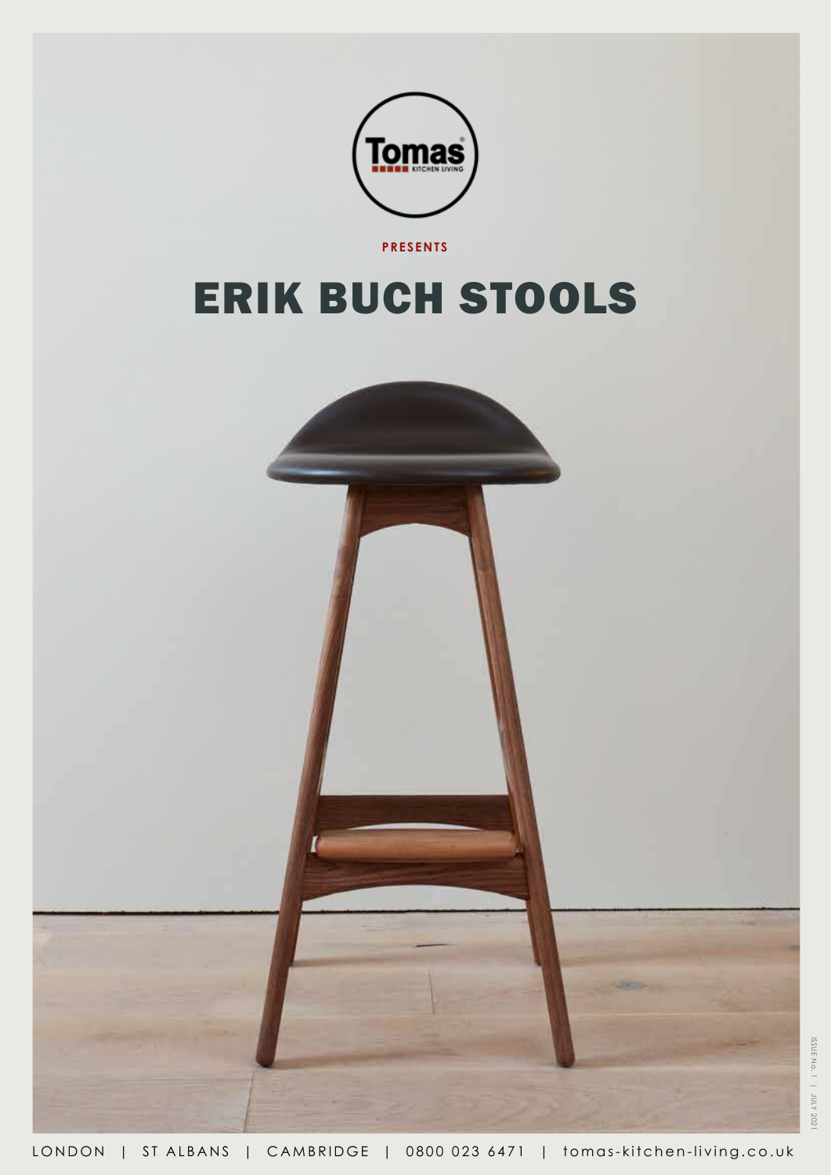

ISSUE No. 1 | JULY 2021 ISSUE No. 1 | JULY 2021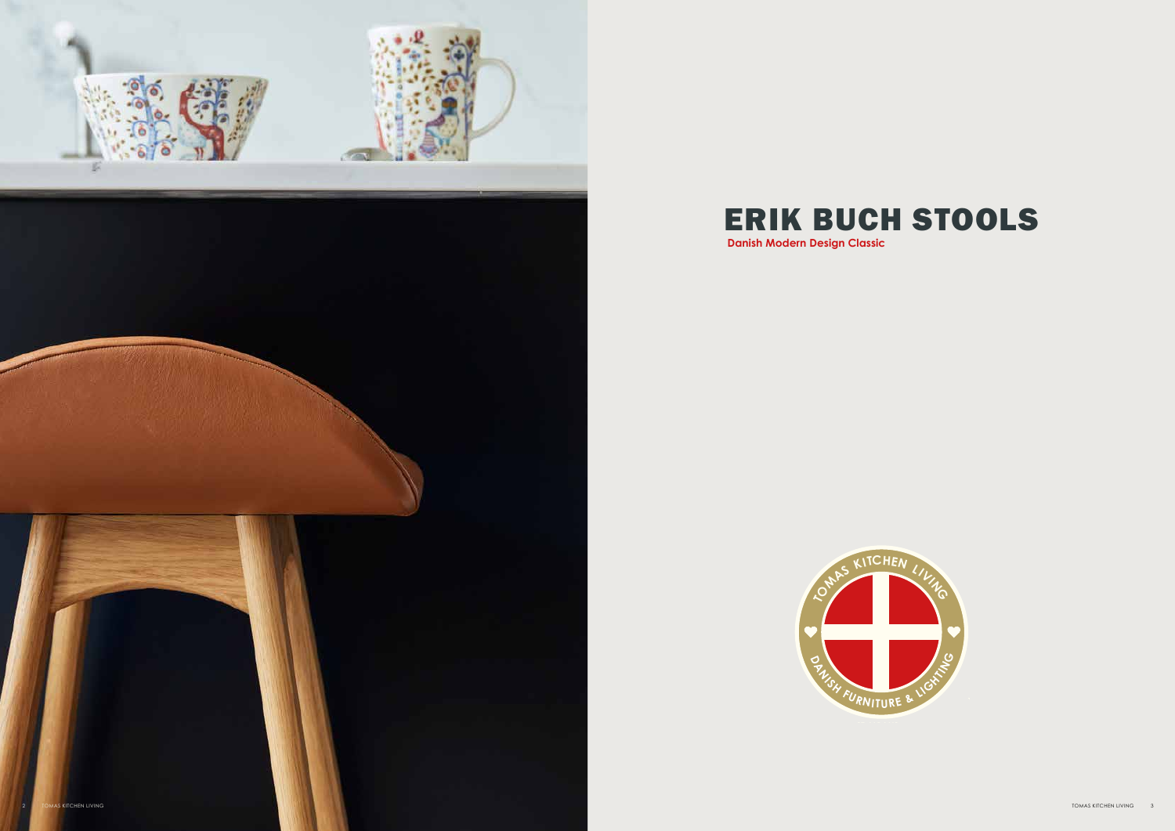



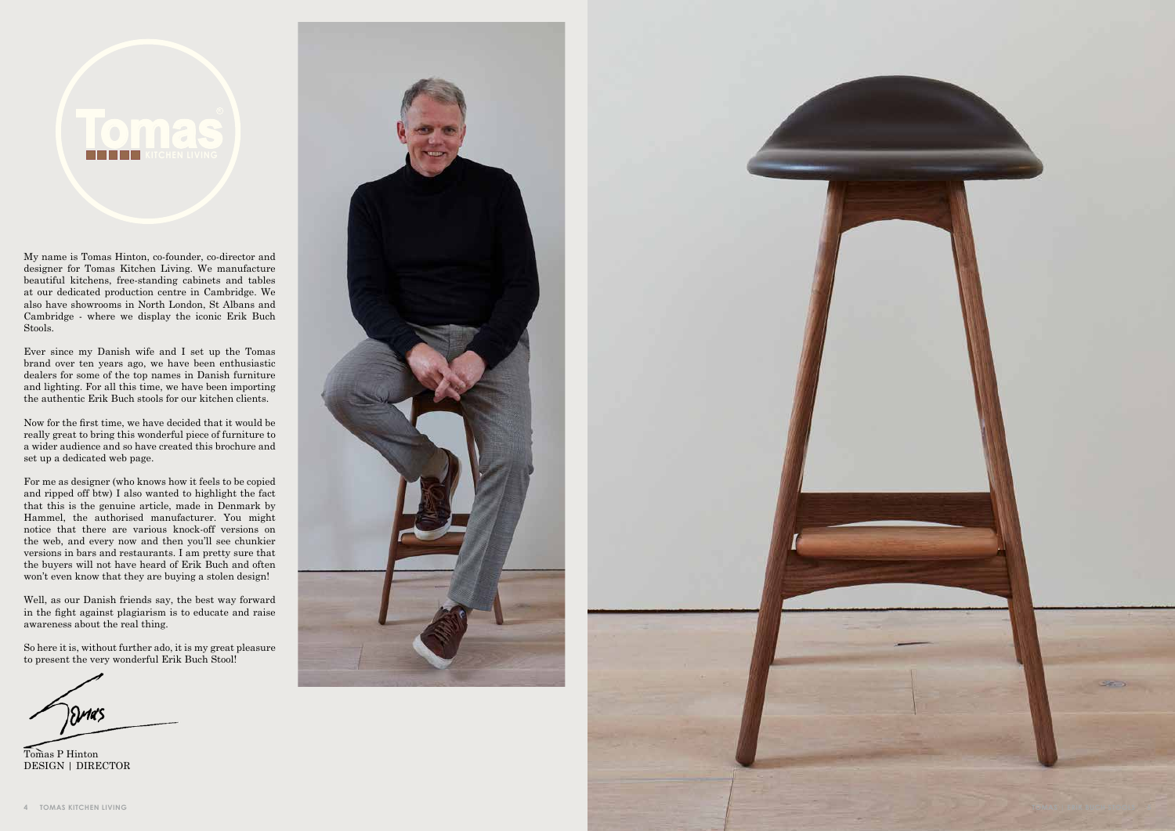My name is Tomas Hinton, co-founder, co-director and designer for Tomas Kitchen Living. We manufacture beautiful kitchens, free-standing cabinets and tables at our dedicated production centre in Cambridge. We also have showrooms in North London, St Albans and Cambridge - where we display the iconic Erik Buch Stools.

Ever since my Danish wife and I set up the Tomas brand over ten years ago, we have been enthusiastic dealers for some of the top names in Danish furniture and lighting. For all this time, we have been importing the authentic Erik Buch stools for our kitchen clients.

Now for the first time, we have decided that it would be really great to bring this wonderful piece of furniture to a wider audience and so have created this brochure and set up a dedicated web page.

For me as designer (who knows how it feels to be copied and ripped off btw) I also wanted to highlight the fact that this is the genuine article, made in Denmark by Hammel, the authorised manufacturer. You might notice that there are various knock-off versions on the web, and every now and then you'll see chunkier versions in bars and restaurants. I am pretty sure that the buyers will not have heard of Erik Buch and often won't even know that they are buying a stolen design!

Well, as our Danish friends say, the best way forward in the fight against plagiarism is to educate and raise awareness about the real thing.

So here it is, without further ado, it is my great pleasure to present the very wonderful Erik Buch Stool!

**SMAS** 

Tomas P Hinton DESIGN | DIRECTOR



# **Tomas**

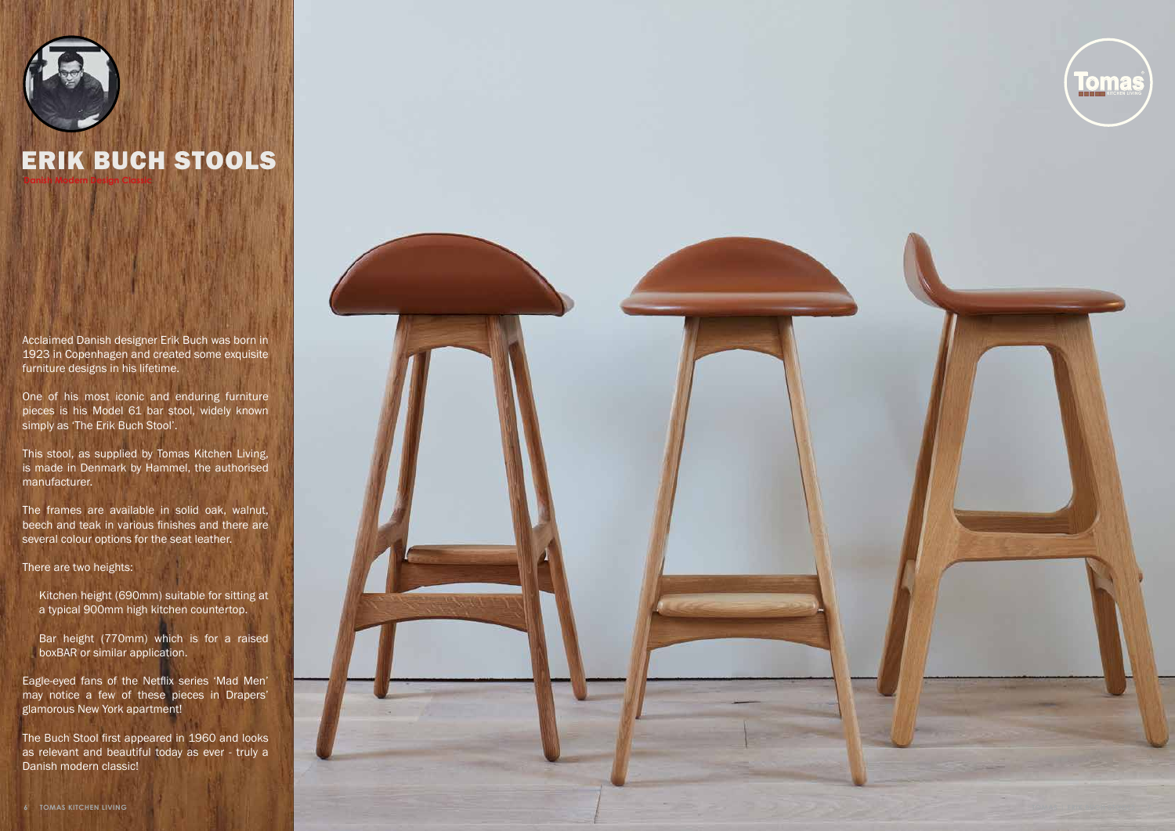Acclaimed Danish designer Erik Buch was born in 1923 in Copenhagen and created some exquisite furniture designs in his lifetime.

One of his most iconic and enduring furniture pieces is his Model 61 bar stool, widely known simply as 'The Erik Buch Stool'.

This stool, as supplied by Tomas Kitchen Living, is made in Denmark by Hammel, the authorised manufacturer.

The frames are available in solid oak, walnut, beech and teak in various finishes and there are several colour options for the seat leather.



There are two heights:

Kitchen height (690mm) suitable for sitting at a typical 900mm high kitchen countertop.

Bar height (770mm) which is for a raised boxBAR or similar application.

Eagle-eyed fans of the Netflix series 'Mad Men' may notice a few of these pieces in Drapers' glamorous New York apartment!

The Buch Stool first appeared in 1960 and looks as relevant and beautiful today as ever - truly a Danish modern classic!





## ERIK BUCH STOOLS **Danish Modern Design Classic**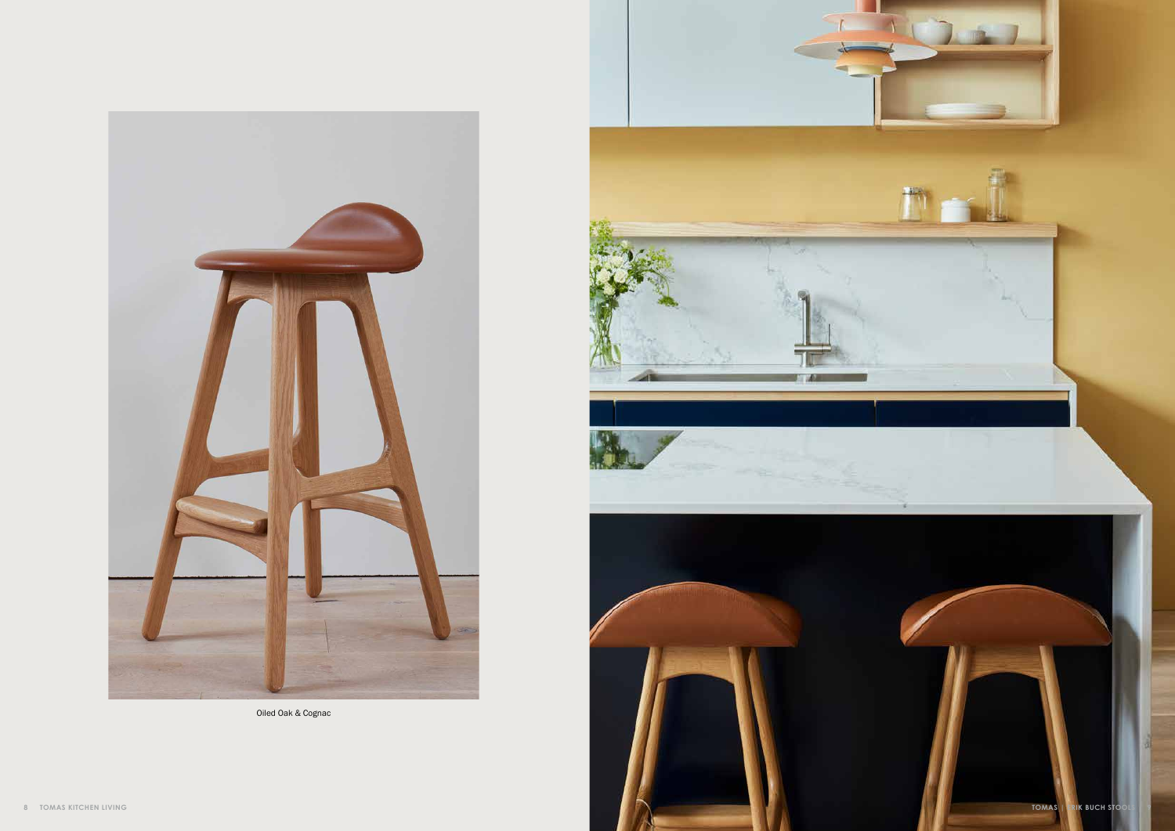

Oiled Oak & Cognac

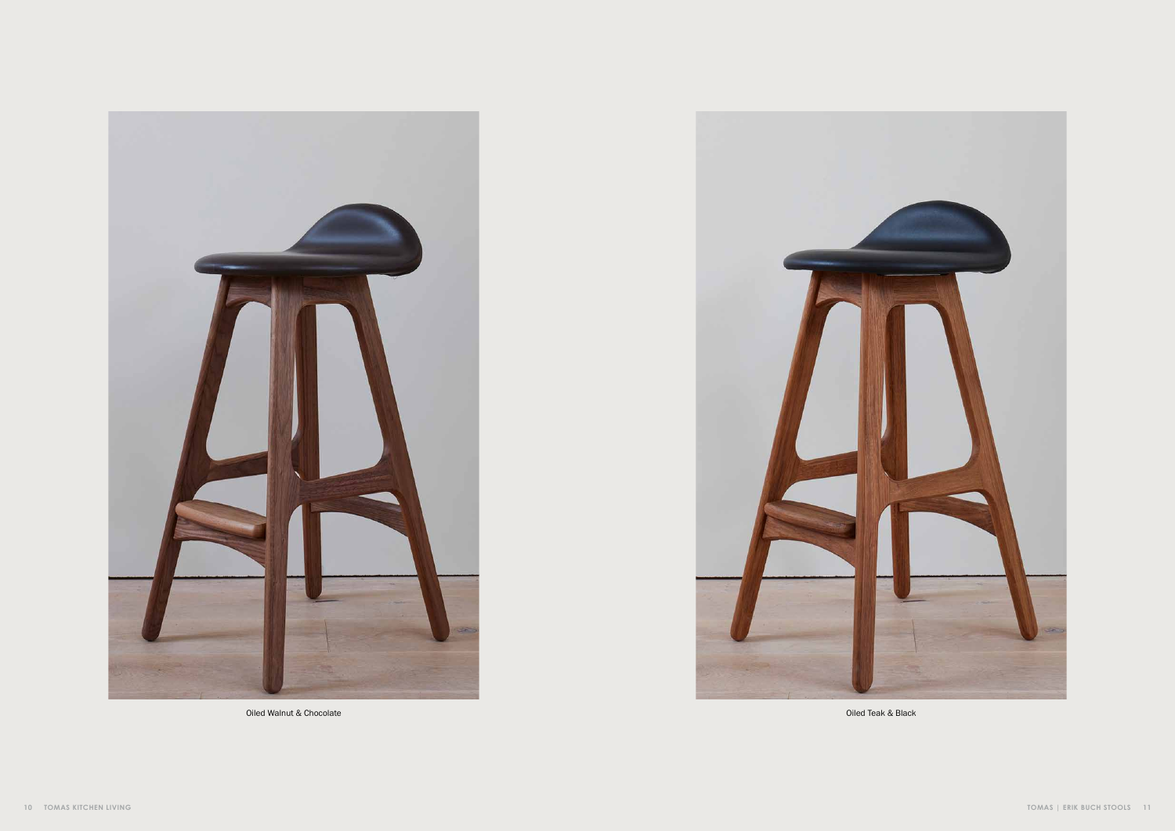

Oiled Walnut & Chocolate **Oiled Teak & Black** 

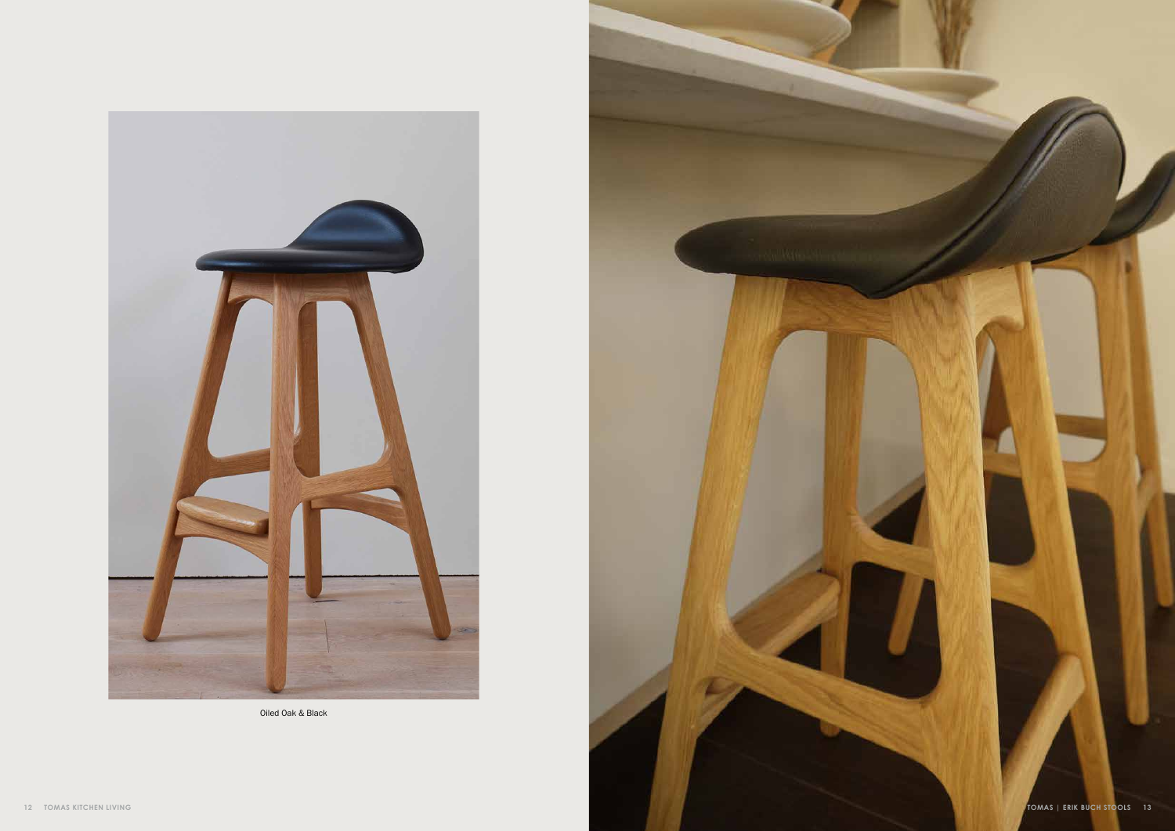

Oiled Oak & Black

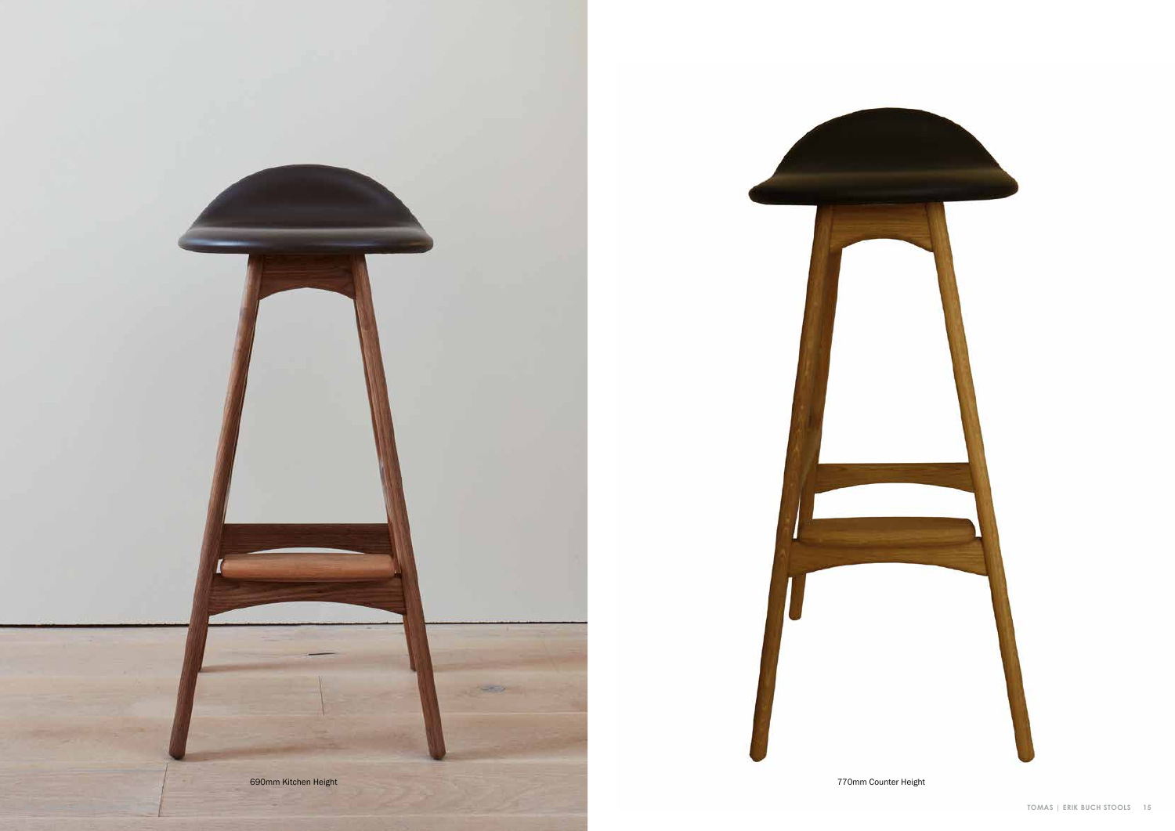

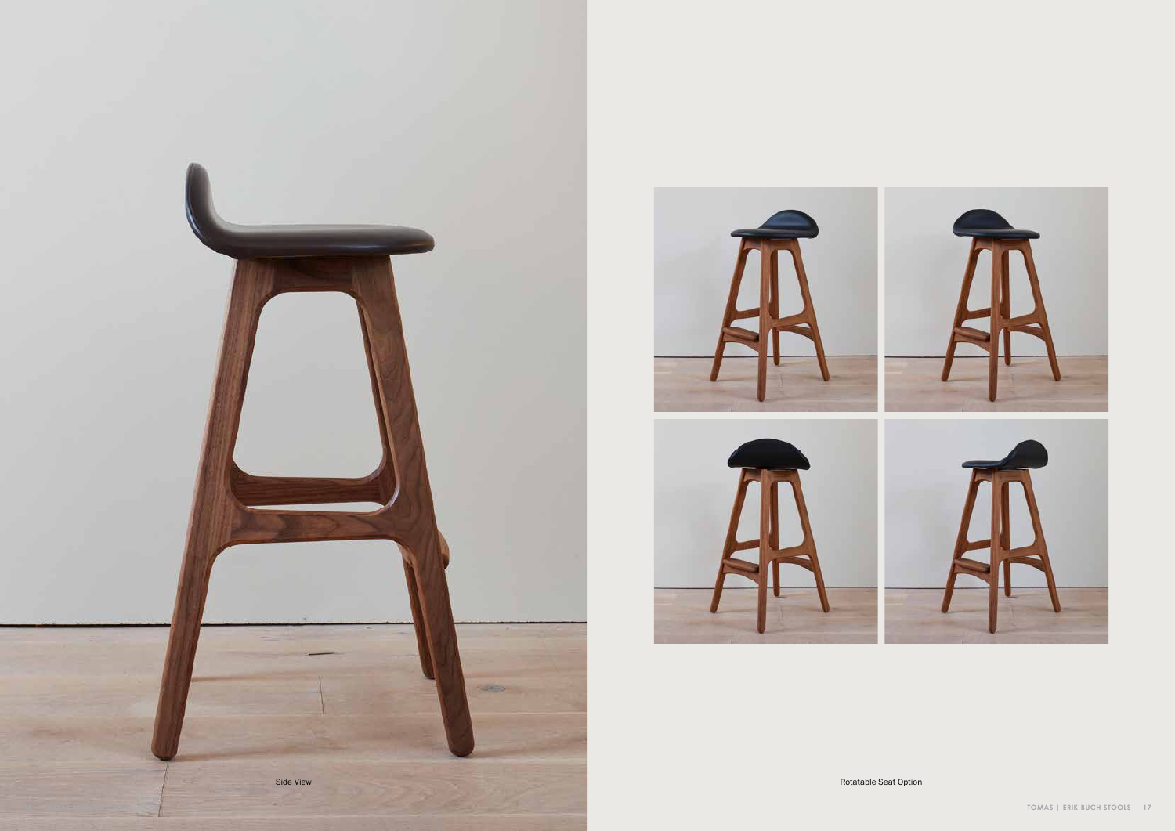



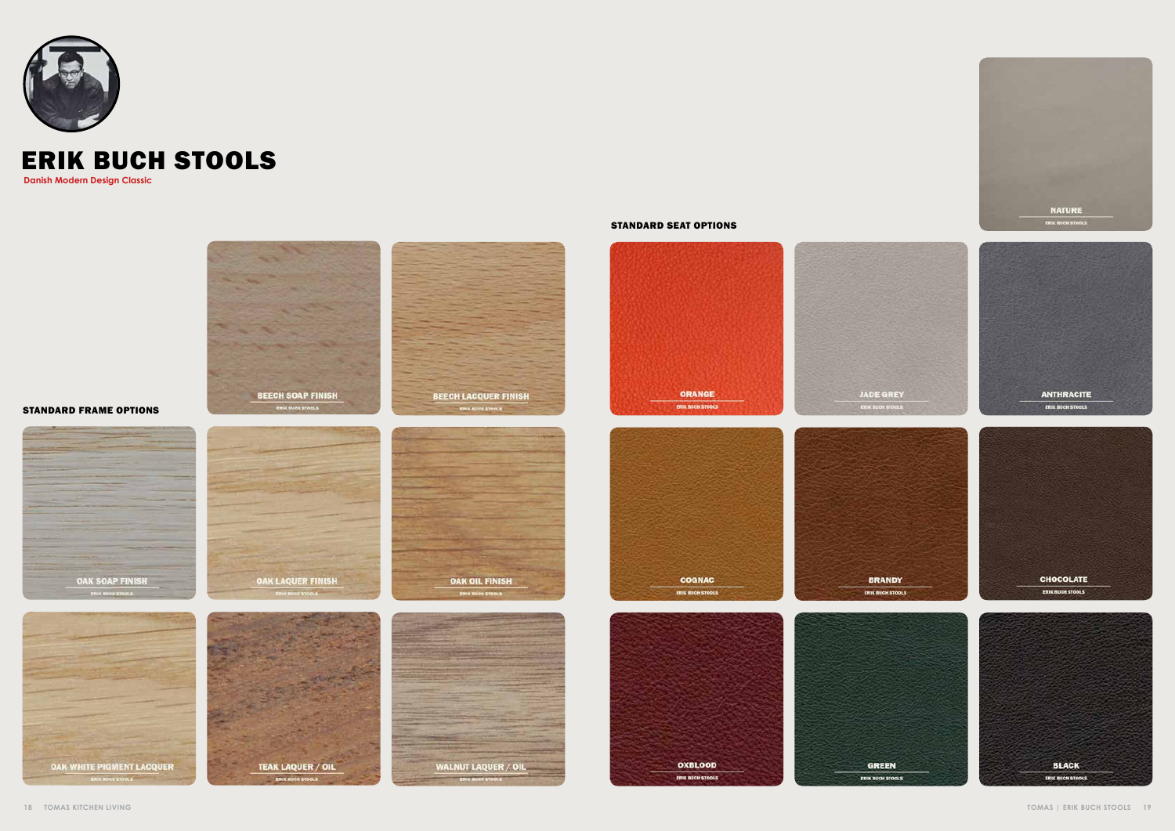





## ERIK BUCH STOOLS

**Danish Modern Design Classic**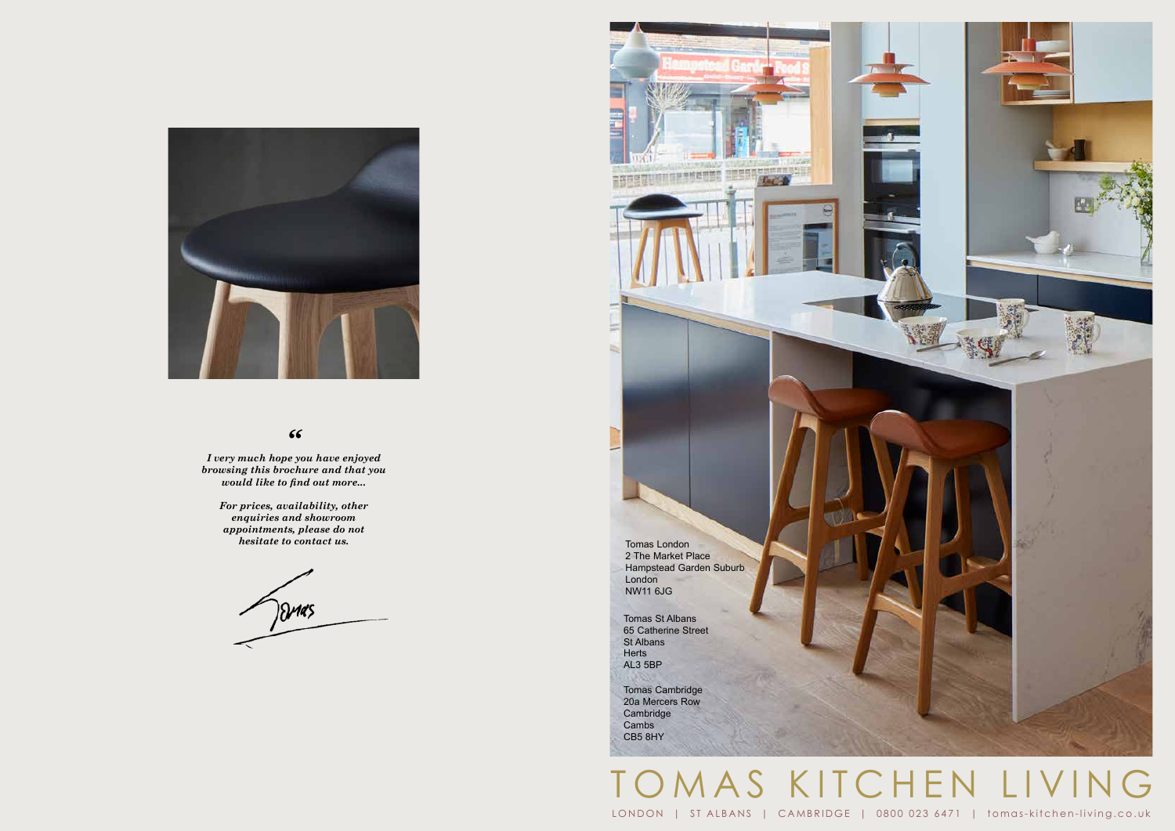



### *"*

*I very much hope you have enjoyed browsing this brochure and that you would like to find out more...*

> *For prices, availability, other enquiries and showroom appointments, please do not hesitate to contact us.*

)Dr145

LONDON | ST ALBANS | CAMBRIDGE | 0800 023 6471 | tomas-kitchen-living.co.uk

## AS KITCHEN LIVING